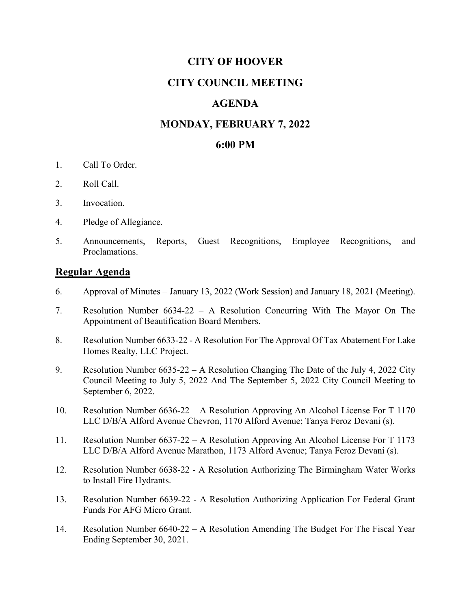### **CITY OF HOOVER**

# **CITY COUNCIL MEETING**

# **AGENDA**

### **MONDAY, FEBRUARY 7, 2022**

#### **6:00 PM**

- 1. Call To Order.
- 2. Roll Call.
- 3. Invocation.
- 4. Pledge of Allegiance.
- 5. Announcements, Reports, Guest Recognitions, Employee Recognitions, and Proclamations.

#### **Regular Agenda**

- 6. Approval of Minutes January 13, 2022 (Work Session) and January 18, 2021 (Meeting).
- 7. Resolution Number 6634-22 A Resolution Concurring With The Mayor On The Appointment of Beautification Board Members.
- 8. Resolution Number 6633-22 A Resolution For The Approval Of Tax Abatement For Lake Homes Realty, LLC Project.
- 9. Resolution Number 6635-22 A Resolution Changing The Date of the July 4, 2022 City Council Meeting to July 5, 2022 And The September 5, 2022 City Council Meeting to September 6, 2022.
- 10. Resolution Number 6636-22 A Resolution Approving An Alcohol License For T 1170 LLC D/B/A Alford Avenue Chevron, 1170 Alford Avenue; Tanya Feroz Devani (s).
- 11. Resolution Number 6637-22 A Resolution Approving An Alcohol License For T 1173 LLC D/B/A Alford Avenue Marathon, 1173 Alford Avenue; Tanya Feroz Devani (s).
- 12. Resolution Number 6638-22 A Resolution Authorizing The Birmingham Water Works to Install Fire Hydrants.
- 13. Resolution Number 6639-22 A Resolution Authorizing Application For Federal Grant Funds For AFG Micro Grant.
- 14. Resolution Number 6640-22 A Resolution Amending The Budget For The Fiscal Year Ending September 30, 2021.